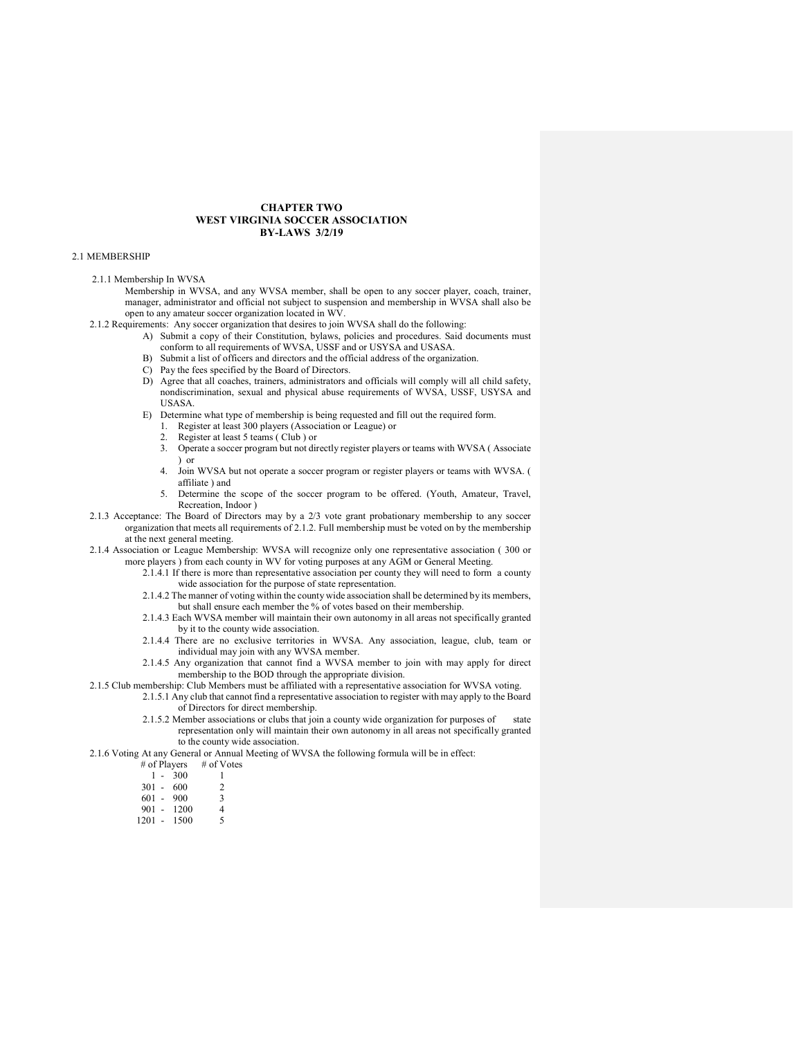## CHAPTER TWO WEST VIRGINIA SOCCER ASSOCIATION BY-LAWS 3/2/19

### 2.1 MEMBERSHIP

#### 2.1.1 Membership In WVSA

- Membership in WVSA, and any WVSA member, shall be open to any soccer player, coach, trainer, manager, administrator and official not subject to suspension and membership in WVSA shall also be open to any amateur soccer organization located in WV.
- 2.1.2 Requirements: Any soccer organization that desires to join WVSA shall do the following:
	- A) Submit a copy of their Constitution, bylaws, policies and procedures. Said documents must conform to all requirements of WVSA, USSF and or USYSA and USASA.
		- B) Submit a list of officers and directors and the official address of the organization.
		- C) Pay the fees specified by the Board of Directors.
		- D) Agree that all coaches, trainers, administrators and officials will comply will all child safety, nondiscrimination, sexual and physical abuse requirements of WVSA, USSF, USYSA and USASA.
		- E) Determine what type of membership is being requested and fill out the required form.
			- 1. Register at least 300 players (Association or League) or
			- 2. Register at least 5 teams ( Club ) or
			- 3. Operate a soccer program but not directly register players or teams with WVSA ( Associate ) or
			- 4. Join WVSA but not operate a soccer program or register players or teams with WVSA. ( affiliate ) and
			- 5. Determine the scope of the soccer program to be offered. (Youth, Amateur, Travel, Recreation, Indoor )
- 2.1.3 Acceptance: The Board of Directors may by a 2/3 vote grant probationary membership to any soccer organization that meets all requirements of 2.1.2. Full membership must be voted on by the membership at the next general meeting.
- 2.1.4 Association or League Membership: WVSA will recognize only one representative association ( 300 or more players ) from each county in WV for voting purposes at any AGM or General Meeting.
	- 2.1.4.1 If there is more than representative association per county they will need to form a county wide association for the purpose of state representation.
		- 2.1.4.2 The manner of voting within the county wide association shall be determined by its members, but shall ensure each member the % of votes based on their membership.
		- 2.1.4.3 Each WVSA member will maintain their own autonomy in all areas not specifically granted by it to the county wide association.
		- 2.1.4.4 There are no exclusive territories in WVSA. Any association, league, club, team or individual may join with any WVSA member.
		- 2.1.4.5 Any organization that cannot find a WVSA member to join with may apply for direct membership to the BOD through the appropriate division.
- 2.1.5 Club membership: Club Members must be affiliated with a representative association for WVSA voting.
	- 2.1.5.1 Any club that cannot find a representative association to register with may apply to the Board of Directors for direct membership.
		- 2.1.5.2 Member associations or clubs that join a county wide organization for purposes of state representation only will maintain their own autonomy in all areas not specifically granted to the county wide association.
- 2.1.6 Voting At any General or Annual Meeting of WVSA the following formula will be in effect:
	- # of Players # of Votes<br> $1 300$   $1$

- 301 600 2
- 601 900 3
- $901 1200$  4<br>  $201 1500$  5
- $1201 1500$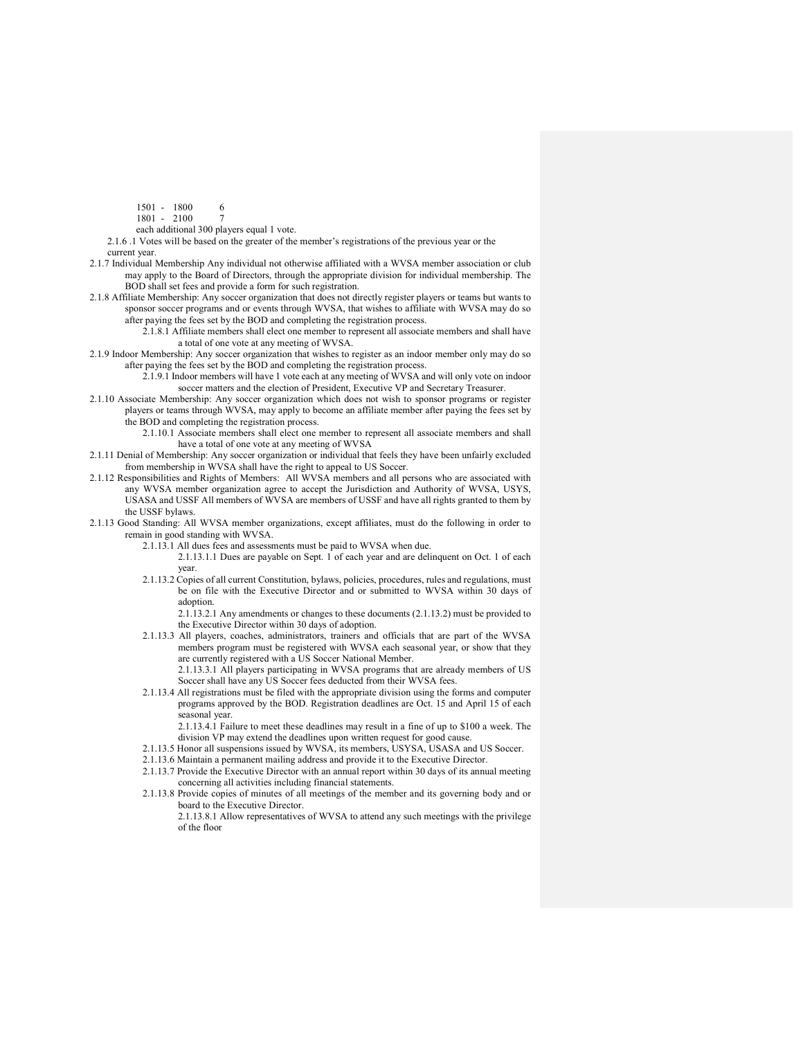- 1501 1800 6
- 1801 2100 7
- each additional 300 players equal 1 vote.
- 2.1.6 .1 Votes will be based on the greater of the member's registrations of the previous year or the current year.
- 
- 2.1.7 Individual Membership Any individual not otherwise affiliated with a WVSA member association or club may apply to the Board of Directors, through the appropriate division for individual membership. The BOD shall set fees and provide a form for such registration.
- 2.1.8 Affiliate Membership: Any soccer organization that does not directly register players or teams but wants to sponsor soccer programs and or events through WVSA, that wishes to affiliate with WVSA may do so after paying the fees set by the BOD and completing the registration process.
	- 2.1.8.1 Affiliate members shall elect one member to represent all associate members and shall have a total of one vote at any meeting of WVSA.
- 2.1.9 Indoor Membership: Any soccer organization that wishes to register as an indoor member only may do so after paying the fees set by the BOD and completing the registration process.
	- 2.1.9.1 Indoor members will have 1 vote each at any meeting of WVSA and will only vote on indoor soccer matters and the election of President, Executive VP and Secretary Treasurer.
- 2.1.10 Associate Membership: Any soccer organization which does not wish to sponsor programs or register players or teams through WVSA, may apply to become an affiliate member after paying the fees set by the BOD and completing the registration process.
	- 2.1.10.1 Associate members shall elect one member to represent all associate members and shall have a total of one vote at any meeting of WVSA
- 2.1.11 Denial of Membership: Any soccer organization or individual that feels they have been unfairly excluded from membership in WVSA shall have the right to appeal to US Soccer.
- 2.1.12 Responsibilities and Rights of Members: All WVSA members and all persons who are associated with any WVSA member organization agree to accept the Jurisdiction and Authority of WVSA, USYS, USASA and USSF All members of WVSA are members of USSF and have all rights granted to them by the USSF bylaws.
- 2.1.13 Good Standing: All WVSA member organizations, except affiliates, must do the following in order to remain in good standing with WVSA.
	- 2.1.13.1 All dues fees and assessments must be paid to WVSA when due.
	- 2.1.13.1.1 Dues are payable on Sept. 1 of each year and are delinquent on Oct. 1 of each year.
	- 2.1.13.2 Copies of all current Constitution, bylaws, policies, procedures, rules and regulations, must be on file with the Executive Director and or submitted to WVSA within 30 days of adoption.

2.1.13.2.1 Any amendments or changes to these documents (2.1.13.2) must be provided to the Executive Director within 30 days of adoption.

- 2.1.13.3 All players, coaches, administrators, trainers and officials that are part of the WVSA members program must be registered with WVSA each seasonal year, or show that they are currently registered with a US Soccer National Member.
	- 2.1.13.3.1 All players participating in WVSA programs that are already members of US Soccer shall have any US Soccer fees deducted from their WVSA fees.
- 2.1.13.4 All registrations must be filed with the appropriate division using the forms and computer programs approved by the BOD. Registration deadlines are Oct. 15 and April 15 of each seasonal year.

2.1.13.4.1 Failure to meet these deadlines may result in a fine of up to \$100 a week. The division VP may extend the deadlines upon written request for good cause.

- 2.1.13.5 Honor all suspensions issued by WVSA, its members, USYSA, USASA and US Soccer.
- 2.1.13.6 Maintain a permanent mailing address and provide it to the Executive Director.
- 2.1.13.7 Provide the Executive Director with an annual report within 30 days of its annual meeting concerning all activities including financial statements.
- 2.1.13.8 Provide copies of minutes of all meetings of the member and its governing body and or board to the Executive Director.

2.1.13.8.1 Allow representatives of WVSA to attend any such meetings with the privilege of the floor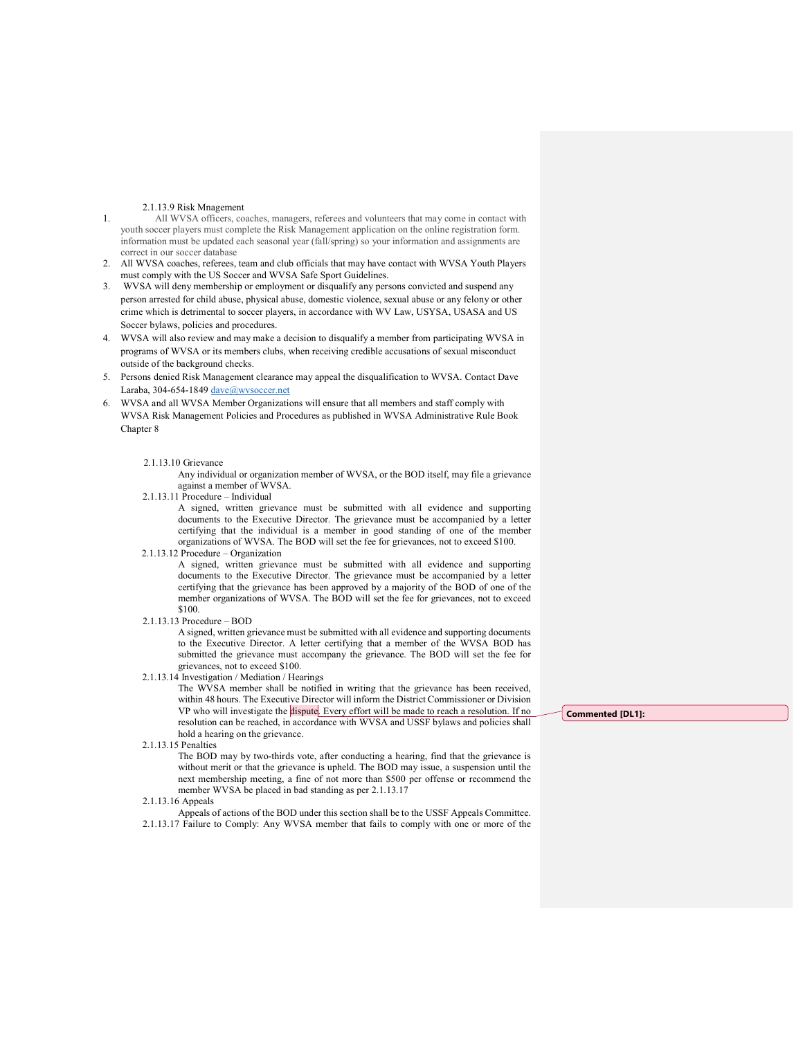## 2.1.13.9 Risk Mnagement

- 1. All WVSA officers, coaches, managers, referees and volunteers that may come in contact with youth soccer players must complete the Risk Management application on the online registration form. information must be updated each seasonal year (fall/spring) so your information and assignments are correct in our soccer database
- 2. All WVSA coaches, referees, team and club officials that may have contact with WVSA Youth Players must comply with the US Soccer and WVSA Safe Sport Guidelines.
- 3. WVSA will deny membership or employment or disqualify any persons convicted and suspend any person arrested for child abuse, physical abuse, domestic violence, sexual abuse or any felony or other crime which is detrimental to soccer players, in accordance with WV Law, USYSA, USASA and US Soccer bylaws, policies and procedures.
- 4. WVSA will also review and may make a decision to disqualify a member from participating WVSA in programs of WVSA or its members clubs, when receiving credible accusations of sexual misconduct outside of the background checks.
- 5. Persons denied Risk Management clearance may appeal the disqualification to WVSA. Contact Dave Laraba, 304-654-1849 dave@wvsoccer.net
- 6. WVSA and all WVSA Member Organizations will ensure that all members and staff comply with WVSA Risk Management Policies and Procedures as published in WVSA Administrative Rule Book Chapter 8

### 2.1.13.10 Grievance

 Any individual or organization member of WVSA, or the BOD itself, may file a grievance against a member of WVSA.

2.1.13.11 Procedure – Individual

 A signed, written grievance must be submitted with all evidence and supporting documents to the Executive Director. The grievance must be accompanied by a letter certifying that the individual is a member in good standing of one of the member organizations of WVSA. The BOD will set the fee for grievances, not to exceed \$100.

2.1.13.12 Procedure – Organization

A signed, written grievance must be submitted with all evidence and supporting documents to the Executive Director. The grievance must be accompanied by a letter certifying that the grievance has been approved by a majority of the BOD of one of the member organizations of WVSA. The BOD will set the fee for grievances, not to exceed \$100.

2.1.13.13 Procedure – BOD

 A signed, written grievance must be submitted with all evidence and supporting documents to the Executive Director. A letter certifying that a member of the WVSA BOD has submitted the grievance must accompany the grievance. The BOD will set the fee for grievances, not to exceed \$100.

2.1.13.14 Investigation / Mediation / Hearings

The WVSA member shall be notified in writing that the grievance has been received, within 48 hours. The Executive Director will inform the District Commissioner or Division VP who will investigate the dispute. Every effort will be made to reach a resolution. If no resolution can be reached, in accordance with WVSA and USSF bylaws and policies shall hold a hearing on the grievance.

2.1.13.15 Penalties

The BOD may by two-thirds vote, after conducting a hearing, find that the grievance is without merit or that the grievance is upheld. The BOD may issue, a suspension until the next membership meeting, a fine of not more than \$500 per offense or recommend the member WVSA be placed in bad standing as per 2.1.13.17

2.1.13.16 Appeals

 Appeals of actions of the BOD under this section shall be to the USSF Appeals Committee. 2.1.13.17 Failure to Comply: Any WVSA member that fails to comply with one or more of the Commented [DL1]: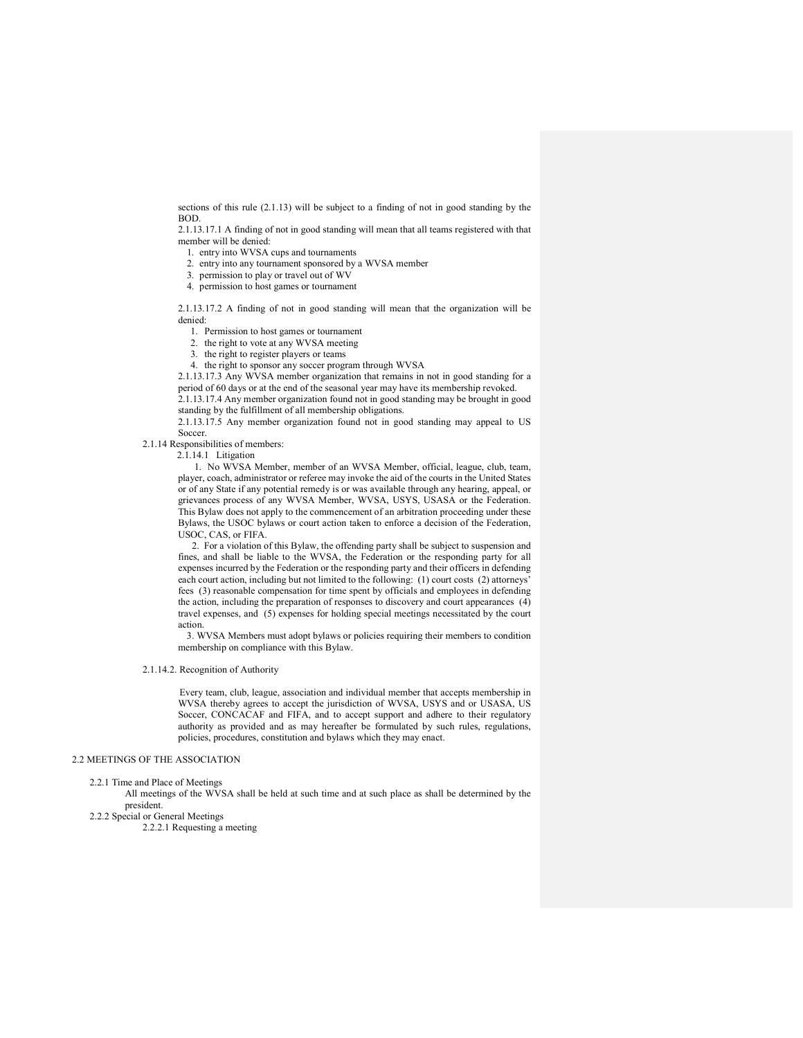sections of this rule (2.1.13) will be subject to a finding of not in good standing by the BOD.

2.1.13.17.1 A finding of not in good standing will mean that all teams registered with that member will be denied:

1. entry into WVSA cups and tournaments

2. entry into any tournament sponsored by a WVSA member

3. permission to play or travel out of WV

4. permission to host games or tournament

2.1.13.17.2 A finding of not in good standing will mean that the organization will be denied:

1. Permission to host games or tournament

2. the right to vote at any WVSA meeting

3. the right to register players or teams

4. the right to sponsor any soccer program through WVSA

2.1.13.17.3 Any WVSA member organization that remains in not in good standing for a period of 60 days or at the end of the seasonal year may have its membership revoked. 2.1.13.17.4 Any member organization found not in good standing may be brought in good

standing by the fulfillment of all membership obligations.

2.1.13.17.5 Any member organization found not in good standing may appeal to US Soccer.

### 2.1.14 Responsibilities of members:

2.1.14.1 Litigation

 1. No WVSA Member, member of an WVSA Member, official, league, club, team, player, coach, administrator or referee may invoke the aid of the courts in the United States or of any State if any potential remedy is or was available through any hearing, appeal, or grievances process of any WVSA Member, WVSA, USYS, USASA or the Federation. This Bylaw does not apply to the commencement of an arbitration proceeding under these Bylaws, the USOC bylaws or court action taken to enforce a decision of the Federation, USOC, CAS, or FIFA.

 2. For a violation of this Bylaw, the offending party shall be subject to suspension and fines, and shall be liable to the WVSA, the Federation or the responding party for all expenses incurred by the Federation or the responding party and their officers in defending each court action, including but not limited to the following: (1) court costs (2) attorneys' fees (3) reasonable compensation for time spent by officials and employees in defending the action, including the preparation of responses to discovery and court appearances (4) travel expenses, and (5) expenses for holding special meetings necessitated by the court action.

 3. WVSA Members must adopt bylaws or policies requiring their members to condition membership on compliance with this Bylaw.

#### 2.1.14.2. Recognition of Authority

 Every team, club, league, association and individual member that accepts membership in WVSA thereby agrees to accept the jurisdiction of WVSA, USYS and or USASA, US Soccer, CONCACAF and FIFA, and to accept support and adhere to their regulatory authority as provided and as may hereafter be formulated by such rules, regulations, policies, procedures, constitution and bylaws which they may enact.

## 2.2 MEETINGS OF THE ASSOCIATION

2.2.1 Time and Place of Meetings

 All meetings of the WVSA shall be held at such time and at such place as shall be determined by the president.

2.2.2 Special or General Meetings

2.2.2.1 Requesting a meeting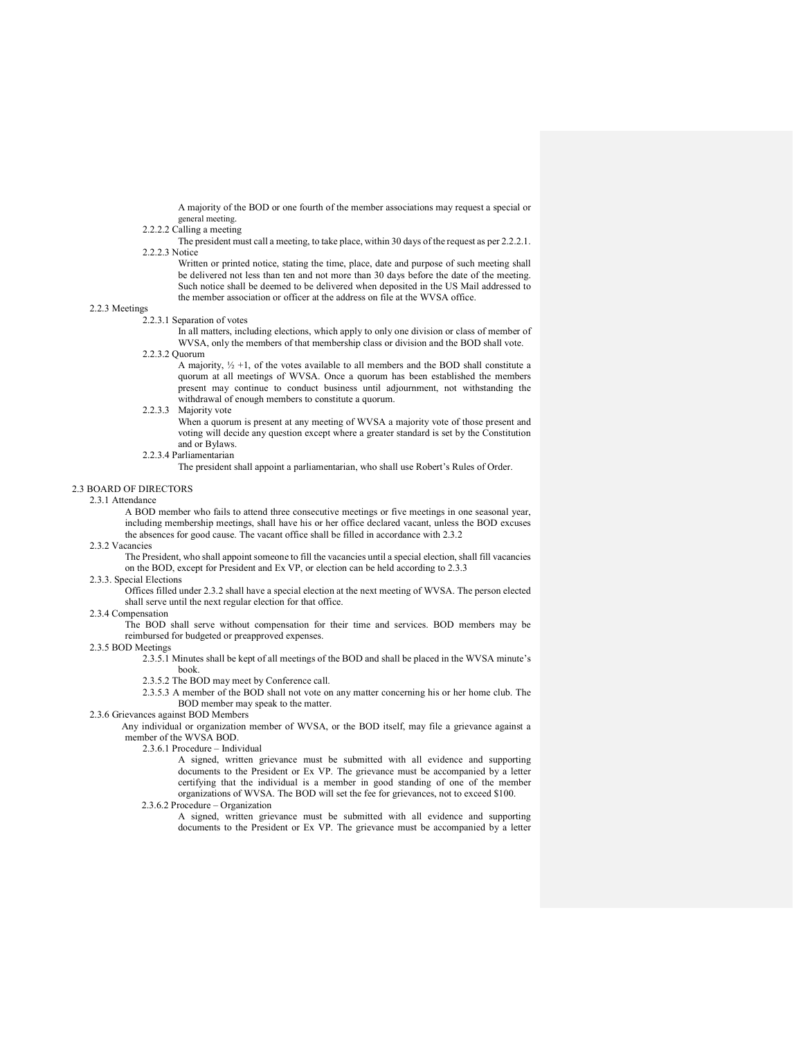A majority of the BOD or one fourth of the member associations may request a special or general meeting.

# 2.2.2.2 Calling a meeting

 The president must call a meeting, to take place, within 30 days of the request as per 2.2.2.1. 2.2.2.3 Notice

 Written or printed notice, stating the time, place, date and purpose of such meeting shall be delivered not less than ten and not more than 30 days before the date of the meeting. Such notice shall be deemed to be delivered when deposited in the US Mail addressed to the member association or officer at the address on file at the WVSA office.

# 2.2.3 Meetings

2.2.3.1 Separation of votes

 In all matters, including elections, which apply to only one division or class of member of WVSA, only the members of that membership class or division and the BOD shall vote.

2.2.3.2 Quorum

A majority,  $\frac{1}{2} + 1$ , of the votes available to all members and the BOD shall constitute a quorum at all meetings of WVSA. Once a quorum has been established the members present may continue to conduct business until adjournment, not withstanding the withdrawal of enough members to constitute a quorum.

2.2.3.3 Majority vote

 When a quorum is present at any meeting of WVSA a majority vote of those present and voting will decide any question except where a greater standard is set by the Constitution and or Bylaws.

2.2.3.4 Parliamentarian

The president shall appoint a parliamentarian, who shall use Robert's Rules of Order.

# 2.3 BOARD OF DIRECTORS

2.3.1 Attendance

 A BOD member who fails to attend three consecutive meetings or five meetings in one seasonal year, including membership meetings, shall have his or her office declared vacant, unless the BOD excuses the absences for good cause. The vacant office shall be filled in accordance with 2.3.2

## 2.3.2 Vacancies

 The President, who shall appoint someone to fill the vacancies until a special election, shall fill vacancies on the BOD, except for President and Ex VP, or election can be held according to 2.3.3

#### 2.3.3. Special Elections

 Offices filled under 2.3.2 shall have a special election at the next meeting of WVSA. The person elected shall serve until the next regular election for that office.

## 2.3.4 Compensation

 The BOD shall serve without compensation for their time and services. BOD members may be reimbursed for budgeted or preapproved expenses.

2.3.5 BOD Meetings

2.3.5.1 Minutes shall be kept of all meetings of the BOD and shall be placed in the WVSA minute's book.

- 2.3.5.2 The BOD may meet by Conference call.
- 2.3.5.3 A member of the BOD shall not vote on any matter concerning his or her home club. The BOD member may speak to the matter.
- 2.3.6 Grievances against BOD Members

 Any individual or organization member of WVSA, or the BOD itself, may file a grievance against a member of the WVSA BOD.

2.3.6.1 Procedure – Individual

 A signed, written grievance must be submitted with all evidence and supporting documents to the President or Ex VP. The grievance must be accompanied by a letter certifying that the individual is a member in good standing of one of the member organizations of WVSA. The BOD will set the fee for grievances, not to exceed \$100.

2.3.6.2 Procedure – Organization

A signed, written grievance must be submitted with all evidence and supporting documents to the President or Ex VP. The grievance must be accompanied by a letter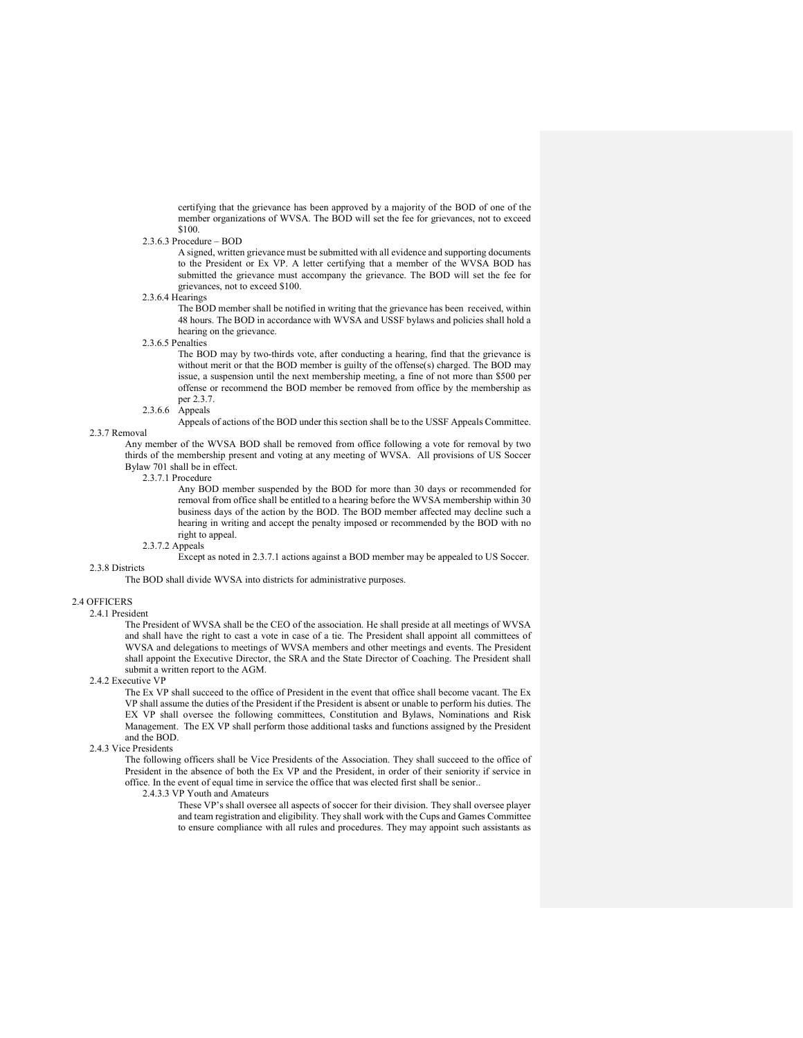certifying that the grievance has been approved by a majority of the BOD of one of the member organizations of WVSA. The BOD will set the fee for grievances, not to exceed \$100.

#### 2.3.6.3 Procedure – BOD

 A signed, written grievance must be submitted with all evidence and supporting documents to the President or Ex VP. A letter certifying that a member of the WVSA BOD has submitted the grievance must accompany the grievance. The BOD will set the fee for grievances, not to exceed \$100.

#### 2.3.6.4 Hearings

The BOD member shall be notified in writing that the grievance has been received, within 48 hours. The BOD in accordance with WVSA and USSF bylaws and policies shall hold a hearing on the grievance.

#### 2.3.6.5 Penalties

The BOD may by two-thirds vote, after conducting a hearing, find that the grievance is without merit or that the BOD member is guilty of the offense(s) charged. The BOD may issue, a suspension until the next membership meeting, a fine of not more than \$500 per offense or recommend the BOD member be removed from office by the membership as per 2.3.7.

#### 2.3.6.6 Appeals

Appeals of actions of the BOD under this section shall be to the USSF Appeals Committee.

# 2.3.7 Removal

 Any member of the WVSA BOD shall be removed from office following a vote for removal by two thirds of the membership present and voting at any meeting of WVSA. All provisions of US Soccer Bylaw 701 shall be in effect.

## 2.3.7.1 Procedure

 Any BOD member suspended by the BOD for more than 30 days or recommended for removal from office shall be entitled to a hearing before the WVSA membership within 30 business days of the action by the BOD. The BOD member affected may decline such a hearing in writing and accept the penalty imposed or recommended by the BOD with no right to appeal.

# 2.3.7.2 Appeals

Except as noted in 2.3.7.1 actions against a BOD member may be appealed to US Soccer.

The BOD shall divide WVSA into districts for administrative purposes.

#### 2.4 OFFICERS

2.4.1 President

2.3.8 Districts

 The President of WVSA shall be the CEO of the association. He shall preside at all meetings of WVSA and shall have the right to cast a vote in case of a tie. The President shall appoint all committees of WVSA and delegations to meetings of WVSA members and other meetings and events. The President shall appoint the Executive Director, the SRA and the State Director of Coaching. The President shall submit a written report to the AGM.

#### 2.4.2 Executive VP

 The Ex VP shall succeed to the office of President in the event that office shall become vacant. The Ex VP shall assume the duties of the President if the President is absent or unable to perform his duties. The EX VP shall oversee the following committees, Constitution and Bylaws, Nominations and Risk Management. The EX VP shall perform those additional tasks and functions assigned by the President and the BOD.

## 2.4.3 Vice Presidents

 The following officers shall be Vice Presidents of the Association. They shall succeed to the office of President in the absence of both the Ex VP and the President, in order of their seniority if service in office. In the event of equal time in service the office that was elected first shall be senior..

## 2.4.3.3 VP Youth and Amateurs

 These VP's shall oversee all aspects of soccer for their division. They shall oversee player and team registration and eligibility. They shall work with the Cups and Games Committee to ensure compliance with all rules and procedures. They may appoint such assistants as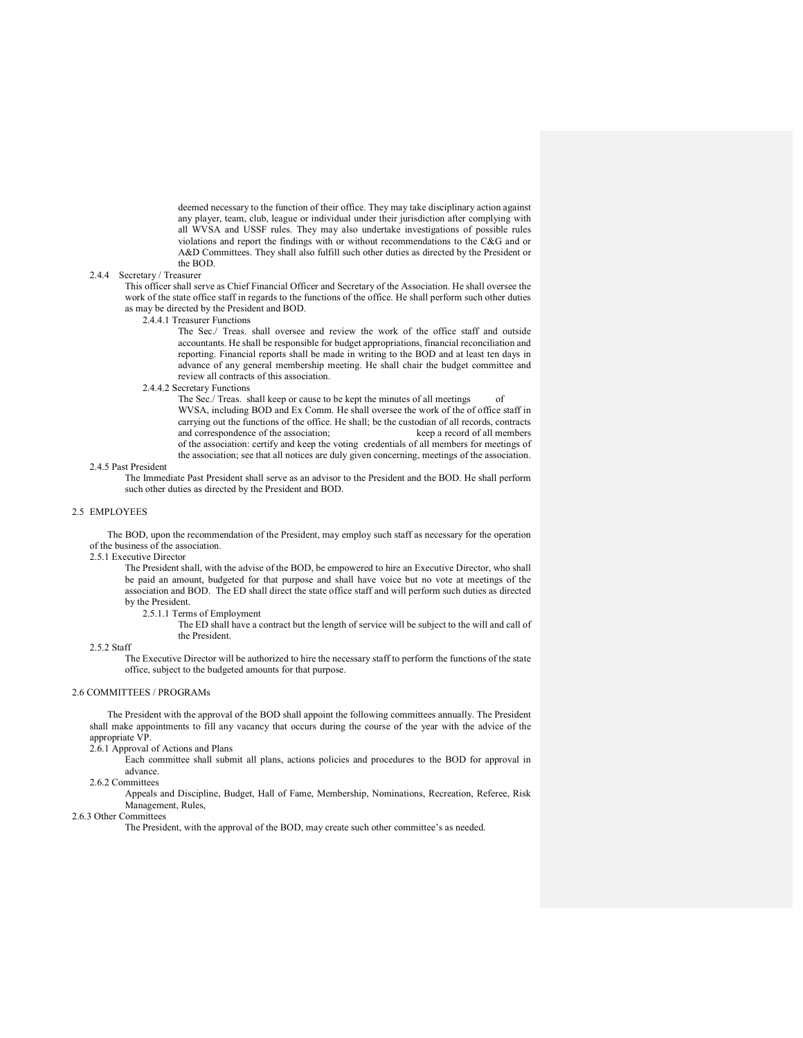deemed necessary to the function of their office. They may take disciplinary action against any player, team, club, league or individual under their jurisdiction after complying with all WVSA and USSF rules. They may also undertake investigations of possible rules violations and report the findings with or without recommendations to the C&G and or A&D Committees. They shall also fulfill such other duties as directed by the President or the BOD.

## 2.4.4 Secretary / Treasurer

 This officer shall serve as Chief Financial Officer and Secretary of the Association. He shall oversee the work of the state office staff in regards to the functions of the office. He shall perform such other duties as may be directed by the President and BOD.

2.4.4.1 Treasurer Functions

 The Sec./ Treas. shall oversee and review the work of the office staff and outside accountants. He shall be responsible for budget appropriations, financial reconciliation and reporting. Financial reports shall be made in writing to the BOD and at least ten days in advance of any general membership meeting. He shall chair the budget committee and review all contracts of this association.

2.4.4.2 Secretary Functions

The Sec./ Treas. shall keep or cause to be kept the minutes of all meetings of WVSA, including BOD and Ex Comm. He shall oversee the work of the of office staff in carrying out the functions of the office. He shall; be the custodian of all records, contracts and correspondence of the association; keep a record of all members and correspondence of the association; of the association: certify and keep the voting credentials of all members for meetings of the association; see that all notices are duly given concerning, meetings of the association.

2.4.5 Past President

 The Immediate Past President shall serve as an advisor to the President and the BOD. He shall perform such other duties as directed by the President and BOD.

## 2.5 EMPLOYEES

The BOD, upon the recommendation of the President, may employ such staff as necessary for the operation of the business of the association.

2.5.1 Executive Director

 The President shall, with the advise of the BOD, be empowered to hire an Executive Director, who shall be paid an amount, budgeted for that purpose and shall have voice but no vote at meetings of the association and BOD. The ED shall direct the state office staff and will perform such duties as directed by the President.

2.5.1.1 Terms of Employment

 The ED shall have a contract but the length of service will be subject to the will and call of the President.

2.5.2 Staff

 The Executive Director will be authorized to hire the necessary staff to perform the functions of the state office, subject to the budgeted amounts for that purpose.

### 2.6 COMMITTEES / PROGRAMs

The President with the approval of the BOD shall appoint the following committees annually. The President shall make appointments to fill any vacancy that occurs during the course of the year with the advice of the appropriate VP.

2.6.1 Approval of Actions and Plans

 Each committee shall submit all plans, actions policies and procedures to the BOD for approval in advance.

#### 2.6.2 Committees

 Appeals and Discipline, Budget, Hall of Fame, Membership, Nominations, Recreation, Referee, Risk Management, Rules,

## 2.6.3 Other Committees

The President, with the approval of the BOD, may create such other committee's as needed.